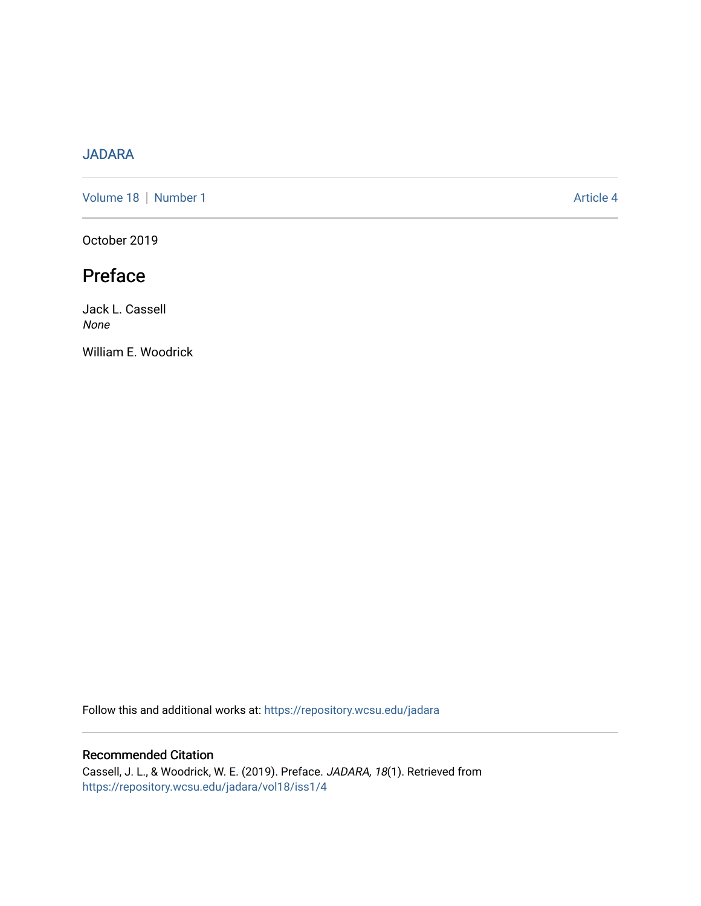## [JADARA](https://repository.wcsu.edu/jadara)

[Volume 18](https://repository.wcsu.edu/jadara/vol18) | [Number 1](https://repository.wcsu.edu/jadara/vol18/iss1) Article 4

October 2019

## Preface

Jack L. Cassell None

William E. Woodrick

Follow this and additional works at: [https://repository.wcsu.edu/jadara](https://repository.wcsu.edu/jadara?utm_source=repository.wcsu.edu%2Fjadara%2Fvol18%2Fiss1%2F4&utm_medium=PDF&utm_campaign=PDFCoverPages)

## Recommended Citation

Cassell, J. L., & Woodrick, W. E. (2019). Preface. JADARA, 18(1). Retrieved from [https://repository.wcsu.edu/jadara/vol18/iss1/4](https://repository.wcsu.edu/jadara/vol18/iss1/4?utm_source=repository.wcsu.edu%2Fjadara%2Fvol18%2Fiss1%2F4&utm_medium=PDF&utm_campaign=PDFCoverPages)